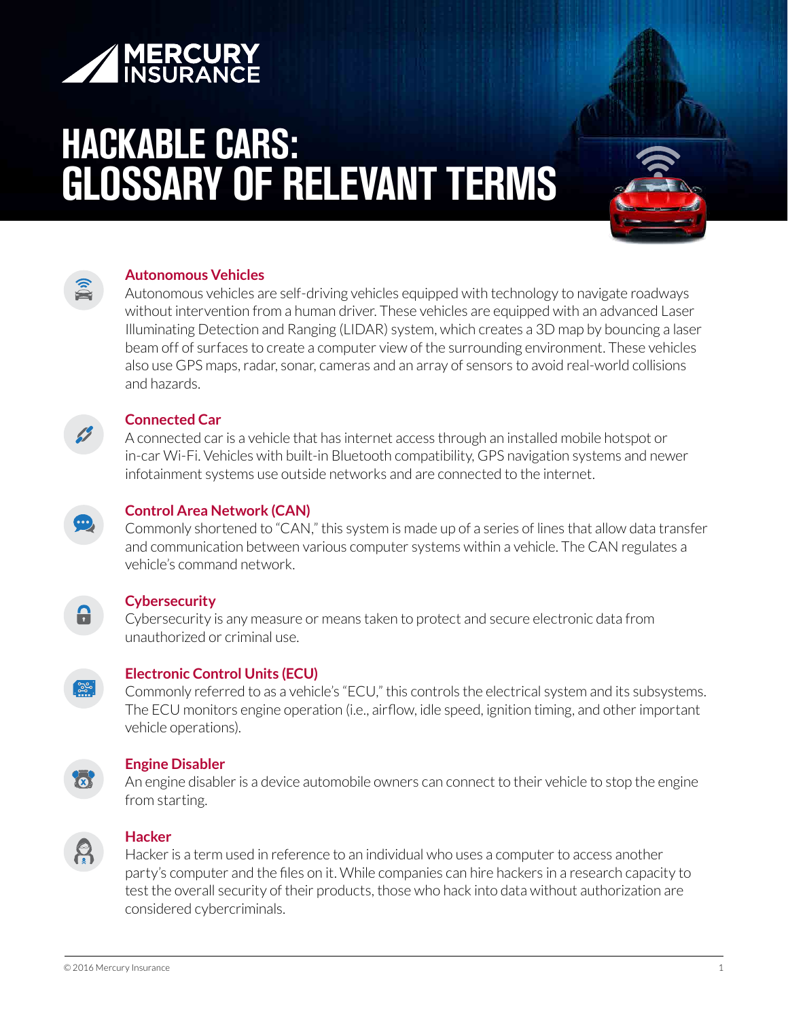

# **HACKABLE CARS: GLOSSARY OF RELEVANT TERMS**



#### **Autonomous Vehicles**

Autonomous vehicles are self-driving vehicles equipped with technology to navigate roadways without intervention from a human driver. These vehicles are equipped with an advanced Laser Illuminating Detection and Ranging (LIDAR) system, which creates a 3D map by bouncing a laser beam off of surfaces to create a computer view of the surrounding environment. These vehicles also use GPS maps, radar, sonar, cameras and an array of sensors to avoid real-world collisions and hazards.



#### **Connected Car**

A connected car is a vehicle that has internet access through an installed mobile hotspot or in-car Wi-Fi. Vehicles with built-in Bluetooth compatibility, GPS navigation systems and newer infotainment systems use outside networks and are connected to the internet.



## **Control Area Network (CAN)**

Commonly shortened to "CAN," this system is made up of a series of lines that allow data transfer and communication between various computer systems within a vehicle. The CAN regulates a vehicle's command network.

## **Cybersecurity**

Cybersecurity is any measure or means taken to protect and secure electronic data from unauthorized or criminal use.



А

## **Electronic Control Units (ECU)**

Commonly referred to as a vehicle's "ECU," this controls the electrical system and its subsystems. The ECU monitors engine operation (i.e., airflow, idle speed, ignition timing, and other important vehicle operations).



## **Engine Disabler**

An engine disabler is a device automobile owners can connect to their vehicle to stop the engine from starting.



## **Hacker**

Hacker is a term used in reference to an individual who uses a computer to access another party's computer and the files on it. While companies can hire hackers in a research capacity to test the overall security of their products, those who hack into data without authorization are considered cybercriminals.